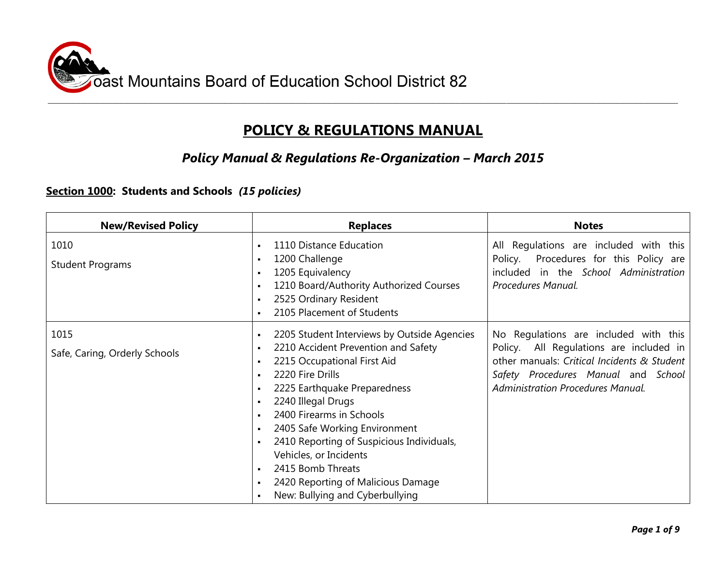

# **POLICY & REGULATIONS MANUAL**

## *Policy Manual & Regulations Re-Organization – March 2015*

#### **Section 1000: Students and Schools** *(15 policies)*

| <b>New/Revised Policy</b>             | <b>Replaces</b>                                                                                                                                                                                                                                                                                                                                                                                                                             | <b>Notes</b>                                                                                                                                                                                                       |
|---------------------------------------|---------------------------------------------------------------------------------------------------------------------------------------------------------------------------------------------------------------------------------------------------------------------------------------------------------------------------------------------------------------------------------------------------------------------------------------------|--------------------------------------------------------------------------------------------------------------------------------------------------------------------------------------------------------------------|
| 1010<br><b>Student Programs</b>       | 1110 Distance Education<br>$\blacksquare$<br>1200 Challenge<br>1205 Equivalency<br>1210 Board/Authority Authorized Courses<br>2525 Ordinary Resident<br>2105 Placement of Students                                                                                                                                                                                                                                                          | All Regulations are included with this<br>Policy.<br>Procedures for this Policy are<br>included in the School Administration<br>Procedures Manual.                                                                 |
| 1015<br>Safe, Caring, Orderly Schools | 2205 Student Interviews by Outside Agencies<br>2210 Accident Prevention and Safety<br>2215 Occupational First Aid<br>2220 Fire Drills<br>2225 Earthquake Preparedness<br>2240 Illegal Drugs<br>2400 Firearms in Schools<br>- 11<br>2405 Safe Working Environment<br>2410 Reporting of Suspicious Individuals,<br>Vehicles, or Incidents<br>2415 Bomb Threats<br>п.<br>2420 Reporting of Malicious Damage<br>New: Bullying and Cyberbullying | No Regulations are included with this<br>Policy. All Regulations are included in<br>other manuals: Critical Incidents & Student<br>Safety Procedures Manual and School<br><b>Administration Procedures Manual.</b> |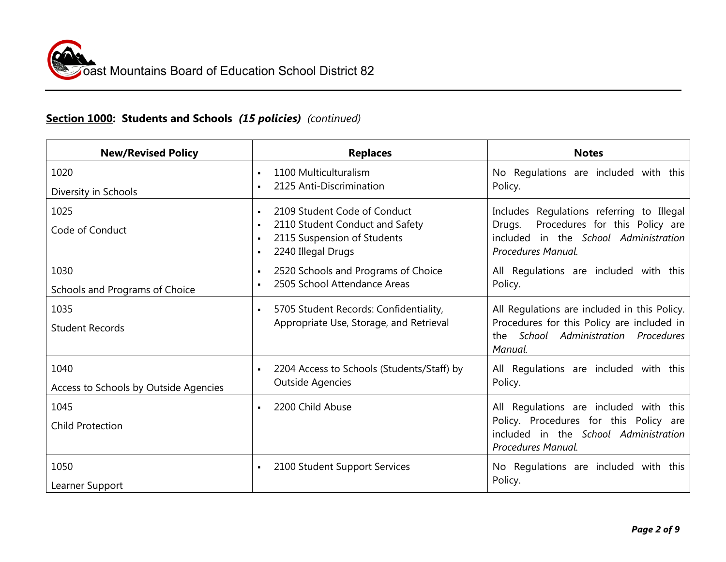# **Section 1000: Students and Schools** *(15 policies) (continued)*

| <b>New/Revised Policy</b>                     | <b>Replaces</b>                                                                                                                                                                              | <b>Notes</b>                                                                                                                                         |
|-----------------------------------------------|----------------------------------------------------------------------------------------------------------------------------------------------------------------------------------------------|------------------------------------------------------------------------------------------------------------------------------------------------------|
| 1020<br>Diversity in Schools                  | 1100 Multiculturalism<br>$\blacksquare$<br>2125 Anti-Discrimination<br>$\blacksquare$                                                                                                        | No Regulations are included with this<br>Policy.                                                                                                     |
| 1025<br>Code of Conduct                       | 2109 Student Code of Conduct<br>$\blacksquare$<br>2110 Student Conduct and Safety<br>$\blacksquare$<br>2115 Suspension of Students<br>$\blacksquare$<br>2240 Illegal Drugs<br>$\blacksquare$ | Includes Regulations referring to Illegal<br>Procedures for this Policy are<br>Drugs.<br>included in the School Administration<br>Procedures Manual. |
| 1030<br>Schools and Programs of Choice        | 2520 Schools and Programs of Choice<br>$\blacksquare$<br>2505 School Attendance Areas<br>$\blacksquare$                                                                                      | All Regulations are included with this<br>Policy.                                                                                                    |
| 1035<br><b>Student Records</b>                | 5705 Student Records: Confidentiality,<br>$\blacksquare$<br>Appropriate Use, Storage, and Retrieval                                                                                          | All Regulations are included in this Policy.<br>Procedures for this Policy are included in<br>School Administration Procedures<br>the<br>Manual.     |
| 1040<br>Access to Schools by Outside Agencies | 2204 Access to Schools (Students/Staff) by<br>$\blacksquare$<br><b>Outside Agencies</b>                                                                                                      | All Regulations are included with this<br>Policy.                                                                                                    |
| 1045<br><b>Child Protection</b>               | 2200 Child Abuse<br>$\blacksquare$                                                                                                                                                           | All Regulations are included with this<br>Policy. Procedures for this Policy are<br>included in the School Administration<br>Procedures Manual.      |
| 1050<br>Learner Support                       | 2100 Student Support Services<br>$\blacksquare$                                                                                                                                              | No Regulations are included with this<br>Policy.                                                                                                     |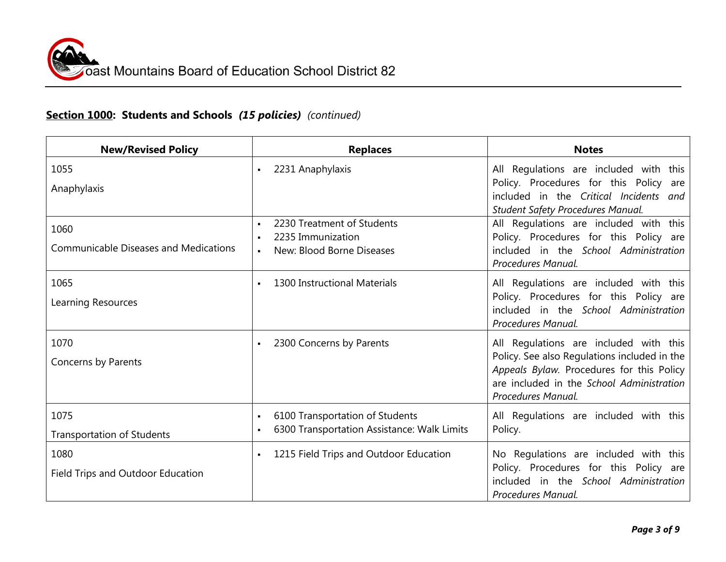# **Section 1000: Students and Schools** *(15 policies) (continued)*

| <b>New/Revised Policy</b>                    | <b>Replaces</b>                                                   | <b>Notes</b>                                                                                                                           |
|----------------------------------------------|-------------------------------------------------------------------|----------------------------------------------------------------------------------------------------------------------------------------|
| 1055                                         | 2231 Anaphylaxis<br>$\blacksquare$                                | All Regulations are included with this                                                                                                 |
| Anaphylaxis                                  |                                                                   | Policy. Procedures for this Policy are<br>included in the Critical Incidents and                                                       |
|                                              |                                                                   | <b>Student Safety Procedures Manual.</b>                                                                                               |
| 1060                                         | 2230 Treatment of Students<br>$\blacksquare$<br>2235 Immunization | All Regulations are included with this                                                                                                 |
| <b>Communicable Diseases and Medications</b> | $\bullet$<br>New: Blood Borne Diseases<br>$\blacksquare$          | Policy. Procedures for this Policy are<br>included in the School Administration<br>Procedures Manual.                                  |
| 1065                                         | 1300 Instructional Materials                                      | All Regulations are included with this                                                                                                 |
| Learning Resources                           |                                                                   | Policy. Procedures for this Policy are<br>included in the School Administration<br>Procedures Manual.                                  |
| 1070                                         | 2300 Concerns by Parents<br>$\blacksquare$                        | All Regulations are included with this                                                                                                 |
| Concerns by Parents                          |                                                                   | Policy. See also Regulations included in the<br>Appeals Bylaw. Procedures for this Policy<br>are included in the School Administration |
|                                              |                                                                   | Procedures Manual.                                                                                                                     |
| 1075                                         | 6100 Transportation of Students<br>$\blacksquare$                 | All Regulations are included with this                                                                                                 |
| <b>Transportation of Students</b>            | 6300 Transportation Assistance: Walk Limits                       | Policy.                                                                                                                                |
| 1080                                         | 1215 Field Trips and Outdoor Education<br>$\blacksquare$          | No Regulations are included with this                                                                                                  |
| Field Trips and Outdoor Education            |                                                                   | Policy. Procedures for this Policy are<br>included in the School Administration<br>Procedures Manual.                                  |
|                                              |                                                                   |                                                                                                                                        |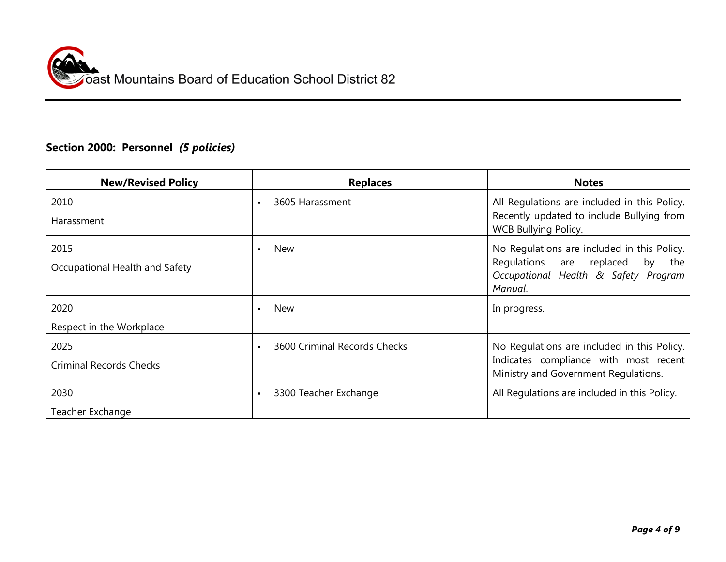# **Section 2000: Personnel** *(5 policies)*

| <b>New/Revised Policy</b>      | <b>Replaces</b>                   | <b>Notes</b>                                                                  |
|--------------------------------|-----------------------------------|-------------------------------------------------------------------------------|
| 2010                           | 3605 Harassment<br>$\blacksquare$ | All Regulations are included in this Policy.                                  |
| Harassment                     |                                   | Recently updated to include Bullying from<br>WCB Bullying Policy.             |
| 2015                           | <b>New</b>                        | No Regulations are included in this Policy.                                   |
| Occupational Health and Safety |                                   | Regulations are replaced<br>by<br>the<br>Occupational Health & Safety Program |
|                                |                                   | Manual.                                                                       |
| 2020                           | <b>New</b>                        | In progress.                                                                  |
| Respect in the Workplace       |                                   |                                                                               |
| 2025                           | 3600 Criminal Records Checks      | No Regulations are included in this Policy.                                   |
| <b>Criminal Records Checks</b> |                                   | Indicates compliance with most recent<br>Ministry and Government Regulations. |
| 2030                           | 3300 Teacher Exchange             | All Regulations are included in this Policy.                                  |
| Teacher Exchange               |                                   |                                                                               |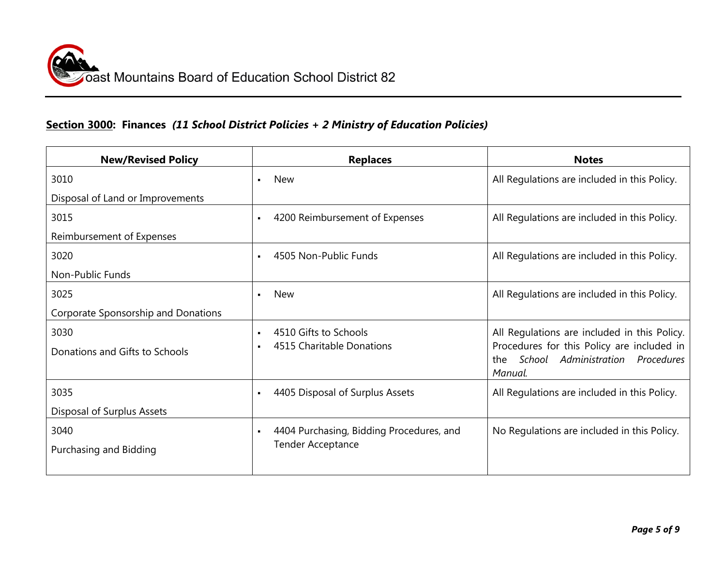#### **Section 3000: Finances** *(11 School District Policies + 2 Ministry of Education Policies)*

| <b>New/Revised Policy</b>           | <b>Replaces</b>                                            | <b>Notes</b>                                                                           |
|-------------------------------------|------------------------------------------------------------|----------------------------------------------------------------------------------------|
| 3010                                | <b>New</b><br>$\blacksquare$                               | All Regulations are included in this Policy.                                           |
| Disposal of Land or Improvements    |                                                            |                                                                                        |
| 3015                                | 4200 Reimbursement of Expenses<br>$\blacksquare$           | All Regulations are included in this Policy.                                           |
| Reimbursement of Expenses           |                                                            |                                                                                        |
| 3020                                | 4505 Non-Public Funds<br>$\blacksquare$                    | All Regulations are included in this Policy.                                           |
| Non-Public Funds                    |                                                            |                                                                                        |
| 3025                                | <b>New</b><br>$\blacksquare$                               | All Regulations are included in this Policy.                                           |
| Corporate Sponsorship and Donations |                                                            |                                                                                        |
| 3030                                | 4510 Gifts to Schools<br>$\blacksquare$                    | All Regulations are included in this Policy.                                           |
| Donations and Gifts to Schools      | 4515 Charitable Donations                                  | Procedures for this Policy are included in<br>School Administration Procedures<br>the. |
|                                     |                                                            | Manual.                                                                                |
| 3035                                | 4405 Disposal of Surplus Assets<br>$\blacksquare$          | All Regulations are included in this Policy.                                           |
| Disposal of Surplus Assets          |                                                            |                                                                                        |
| 3040                                | 4404 Purchasing, Bidding Procedures, and<br>$\blacksquare$ | No Regulations are included in this Policy.                                            |
| Purchasing and Bidding              | <b>Tender Acceptance</b>                                   |                                                                                        |
|                                     |                                                            |                                                                                        |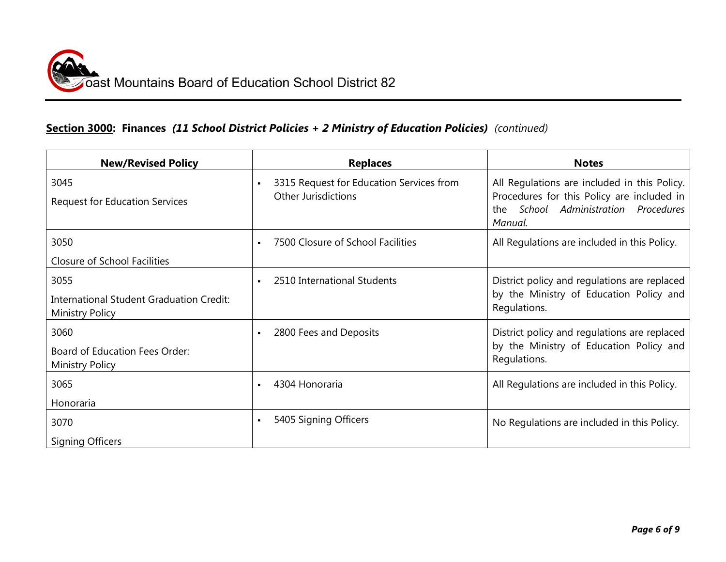## **Section 3000: Finances** *(11 School District Policies + 2 Ministry of Education Policies)**(continued)*

| <b>New/Revised Policy</b>                                                         | <b>Replaces</b>                                                        | <b>Notes</b>                                                                                                                                       |
|-----------------------------------------------------------------------------------|------------------------------------------------------------------------|----------------------------------------------------------------------------------------------------------------------------------------------------|
| 3045<br><b>Request for Education Services</b>                                     | 3315 Request for Education Services from<br><b>Other Jurisdictions</b> | All Regulations are included in this Policy.<br>Procedures for this Policy are included in<br>School Administration Procedures<br>the :<br>Manual. |
| 3050                                                                              | 7500 Closure of School Facilities<br>$\blacksquare$                    | All Regulations are included in this Policy.                                                                                                       |
| Closure of School Facilities                                                      |                                                                        |                                                                                                                                                    |
| 3055<br><b>International Student Graduation Credit:</b><br><b>Ministry Policy</b> | 2510 International Students<br>$\blacksquare$                          | District policy and regulations are replaced<br>by the Ministry of Education Policy and<br>Regulations.                                            |
| 3060<br>Board of Education Fees Order:<br>Ministry Policy                         | 2800 Fees and Deposits<br>$\blacksquare$                               | District policy and regulations are replaced<br>by the Ministry of Education Policy and<br>Regulations.                                            |
| 3065<br>Honoraria                                                                 | 4304 Honoraria<br>$\blacksquare$                                       | All Regulations are included in this Policy.                                                                                                       |
| 3070                                                                              | 5405 Signing Officers<br>$\blacksquare$                                | No Regulations are included in this Policy.                                                                                                        |
| <b>Signing Officers</b>                                                           |                                                                        |                                                                                                                                                    |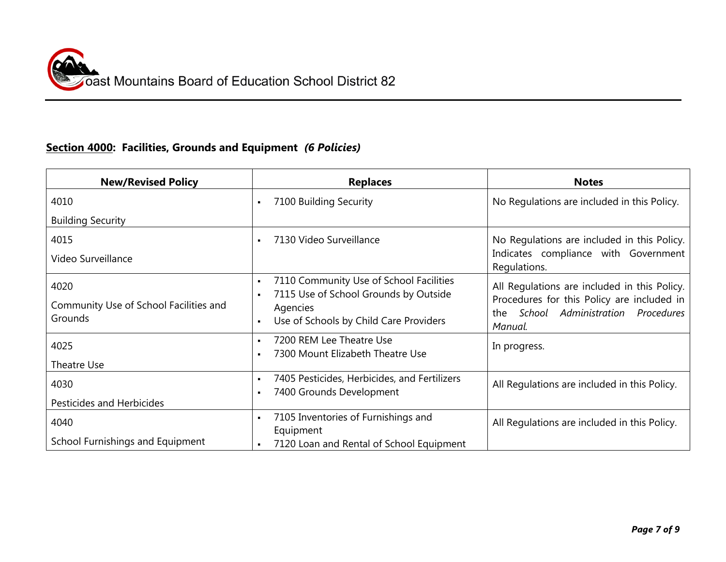## **Section 4000: Facilities, Grounds and Equipment** *(6 Policies)*

| <b>New/Revised Policy</b>                                 | <b>Replaces</b>                                                                                                                                          | <b>Notes</b>                                                                                                                                      |
|-----------------------------------------------------------|----------------------------------------------------------------------------------------------------------------------------------------------------------|---------------------------------------------------------------------------------------------------------------------------------------------------|
| 4010                                                      | 7100 Building Security<br>$\blacksquare$                                                                                                                 | No Regulations are included in this Policy.                                                                                                       |
| <b>Building Security</b>                                  |                                                                                                                                                          |                                                                                                                                                   |
| 4015<br>Video Surveillance                                | 7130 Video Surveillance                                                                                                                                  | No Regulations are included in this Policy.<br>Indicates compliance with Government<br>Regulations.                                               |
| 4020<br>Community Use of School Facilities and<br>Grounds | 7110 Community Use of School Facilities<br>7115 Use of School Grounds by Outside<br>Agencies<br>Use of Schools by Child Care Providers<br>$\blacksquare$ | All Regulations are included in this Policy.<br>Procedures for this Policy are included in<br>School Administration Procedures<br>the.<br>Manual. |
| 4025<br>Theatre Use                                       | 7200 REM Lee Theatre Use<br>7300 Mount Elizabeth Theatre Use                                                                                             | In progress.                                                                                                                                      |
| 4030<br>Pesticides and Herbicides                         | 7405 Pesticides, Herbicides, and Fertilizers<br>7400 Grounds Development                                                                                 | All Regulations are included in this Policy.                                                                                                      |
| 4040<br>School Furnishings and Equipment                  | 7105 Inventories of Furnishings and<br>×<br>Equipment<br>7120 Loan and Rental of School Equipment                                                        | All Regulations are included in this Policy.                                                                                                      |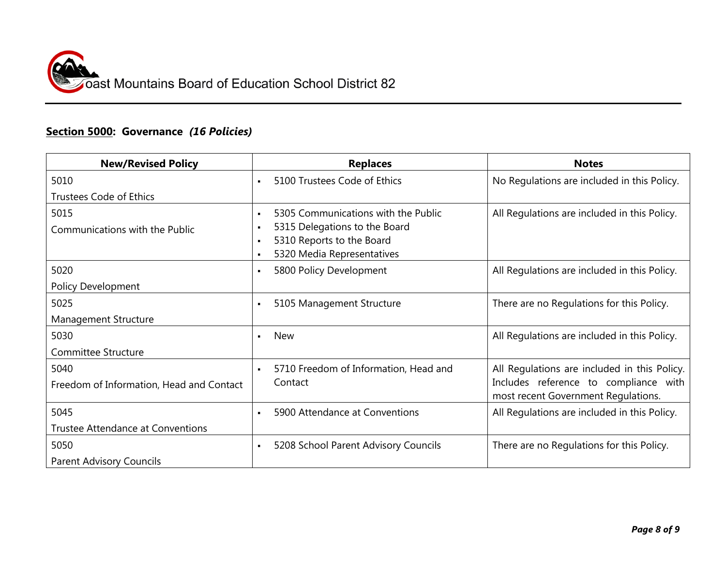### **Section 5000: Governance** *(16 Policies)*

| <b>New/Revised Policy</b>                | <b>Replaces</b>                                                                                                                                                                       | <b>Notes</b>                                                                 |
|------------------------------------------|---------------------------------------------------------------------------------------------------------------------------------------------------------------------------------------|------------------------------------------------------------------------------|
| 5010                                     | 5100 Trustees Code of Ethics<br>$\blacksquare$                                                                                                                                        | No Regulations are included in this Policy.                                  |
| <b>Trustees Code of Ethics</b>           |                                                                                                                                                                                       |                                                                              |
| 5015<br>Communications with the Public   | 5305 Communications with the Public<br>$\blacksquare$<br>5315 Delegations to the Board<br>$\blacksquare$<br>5310 Reports to the Board<br>$\blacksquare$<br>5320 Media Representatives | All Regulations are included in this Policy.                                 |
| 5020                                     | 5800 Policy Development<br>$\blacksquare$                                                                                                                                             | All Regulations are included in this Policy.                                 |
| <b>Policy Development</b>                |                                                                                                                                                                                       |                                                                              |
| 5025                                     | 5105 Management Structure<br>$\blacksquare$                                                                                                                                           | There are no Regulations for this Policy.                                    |
| Management Structure                     |                                                                                                                                                                                       |                                                                              |
| 5030                                     | <b>New</b><br>$\blacksquare$                                                                                                                                                          | All Regulations are included in this Policy.                                 |
| <b>Committee Structure</b>               |                                                                                                                                                                                       |                                                                              |
| 5040                                     | 5710 Freedom of Information, Head and<br>$\blacksquare$                                                                                                                               | All Regulations are included in this Policy.                                 |
| Freedom of Information, Head and Contact | Contact                                                                                                                                                                               | Includes reference to compliance with<br>most recent Government Regulations. |
| 5045                                     | 5900 Attendance at Conventions<br>$\blacksquare$                                                                                                                                      | All Regulations are included in this Policy.                                 |
| <b>Trustee Attendance at Conventions</b> |                                                                                                                                                                                       |                                                                              |
| 5050                                     | 5208 School Parent Advisory Councils<br>$\blacksquare$                                                                                                                                | There are no Regulations for this Policy.                                    |
| <b>Parent Advisory Councils</b>          |                                                                                                                                                                                       |                                                                              |